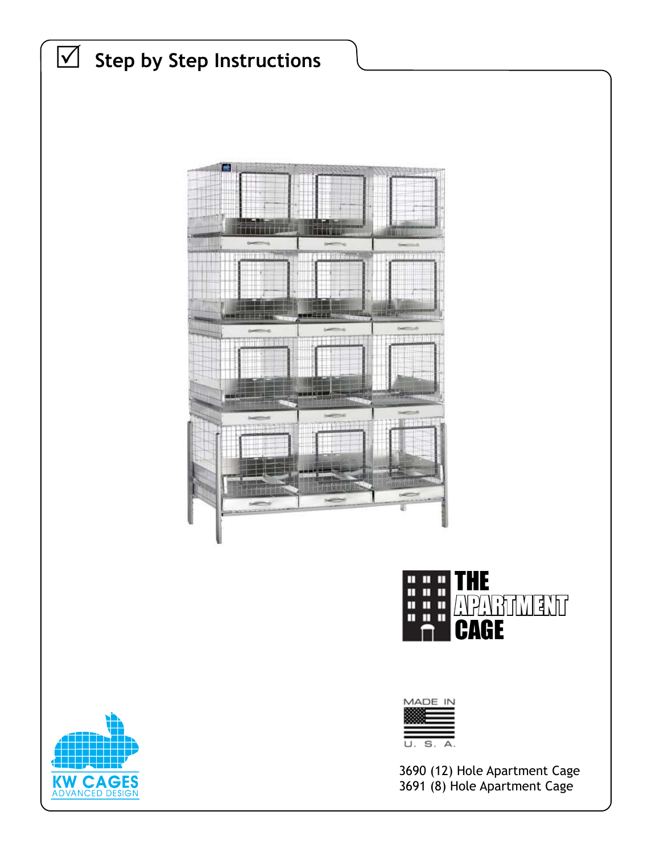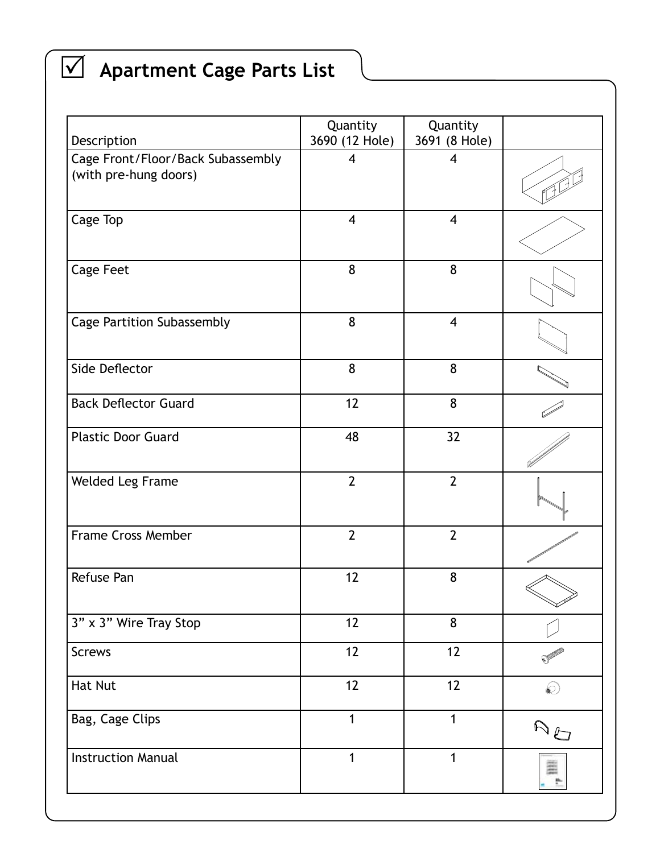# R **Apartment Cage Parts List**

| Description                                                | Quantity<br>3690 (12 Hole) | Quantity<br>3691 (8 Hole) |            |
|------------------------------------------------------------|----------------------------|---------------------------|------------|
| Cage Front/Floor/Back Subassembly<br>(with pre-hung doors) | 4                          | $\overline{\mathbf{4}}$   |            |
| Cage Top                                                   | $\overline{\mathbf{4}}$    | $\overline{4}$            |            |
| <b>Cage Feet</b>                                           | 8                          | 8                         |            |
| <b>Cage Partition Subassembly</b>                          | 8                          | $\overline{\mathbf{4}}$   |            |
| Side Deflector                                             | 8                          | 8                         |            |
| <b>Back Deflector Guard</b>                                | 12                         | 8                         |            |
| <b>Plastic Door Guard</b>                                  | 48                         | 32                        |            |
| Welded Leg Frame                                           | $\overline{2}$             | $\overline{2}$            |            |
| <b>Frame Cross Member</b>                                  | $\overline{2}$             | $\overline{2}$            |            |
| Refuse Pan                                                 | 12                         | 8                         |            |
| 3" x 3" Wire Tray Stop                                     | 12                         | 8                         |            |
| <b>Screws</b>                                              | 12                         | 12                        |            |
| <b>Hat Nut</b>                                             | 12                         | 12                        | $\bigcirc$ |
| Bag, Cage Clips                                            | $\mathbf{1}$               | 1                         | AO         |
| <b>Instruction Manual</b>                                  | $\mathbf{1}$               | 1                         |            |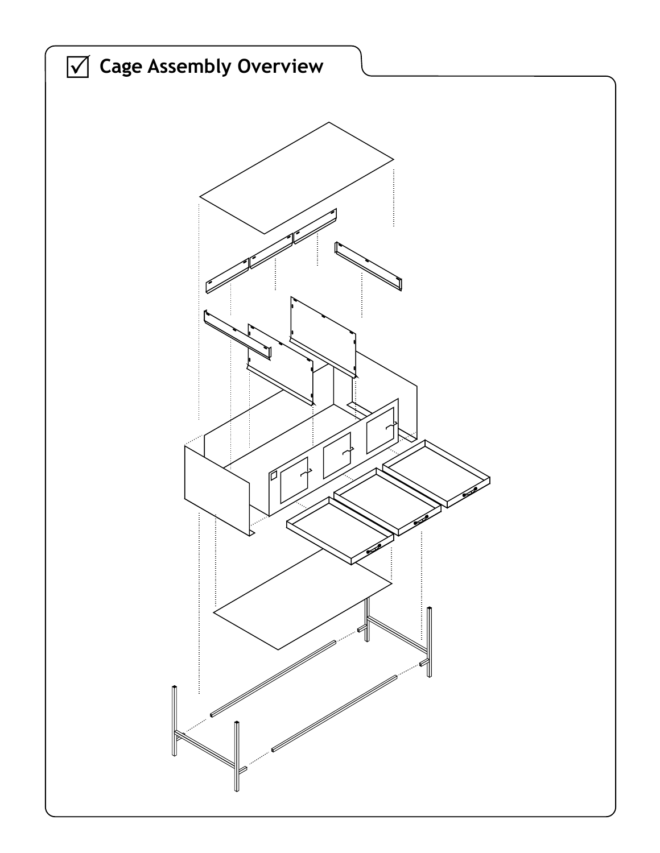![](_page_2_Picture_0.jpeg)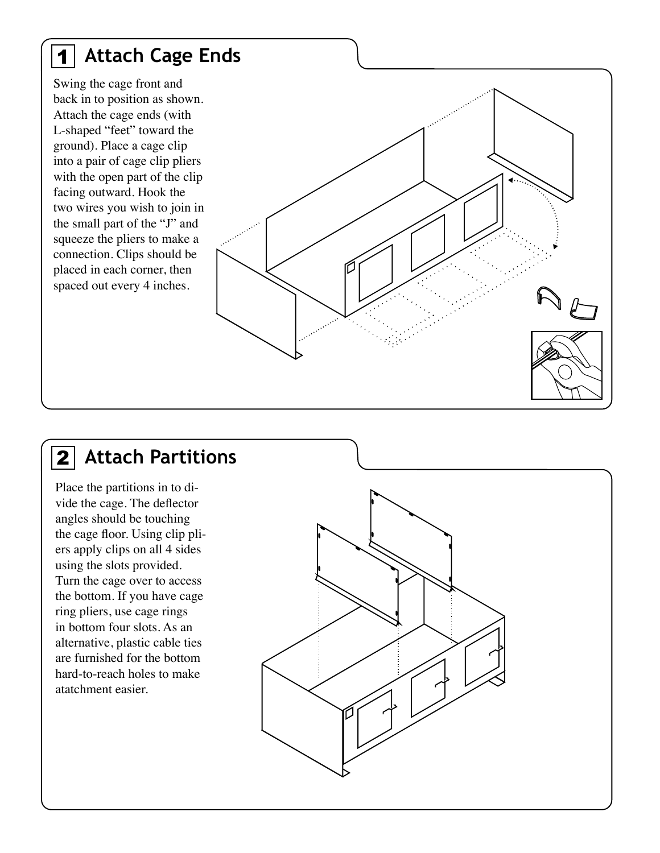#### **Attach Cage Ends** 1

Swing the cage front and back in to position as shown. Attach the cage ends (with L-shaped "feet" toward the ground). Place a cage clip into a pair of cage clip pliers with the open part of the clip facing outward. Hook the two wires you wish to join in the small part of the "J" and squeeze the pliers to make a connection. Clips should be placed in each corner, then spaced out every 4 inches.

#### **Attach Partitions**  $2|$

Place the partitions in to divide the cage. The deflector angles should be touching the cage floor. Using clip pliers apply clips on all 4 sides using the slots provided. Turn the cage over to access the bottom. If you have cage ring pliers, use cage rings in bottom four slots. As an alternative, plastic cable ties are furnished for the bottom hard-to-reach holes to make atatchment easier.

![](_page_3_Picture_4.jpeg)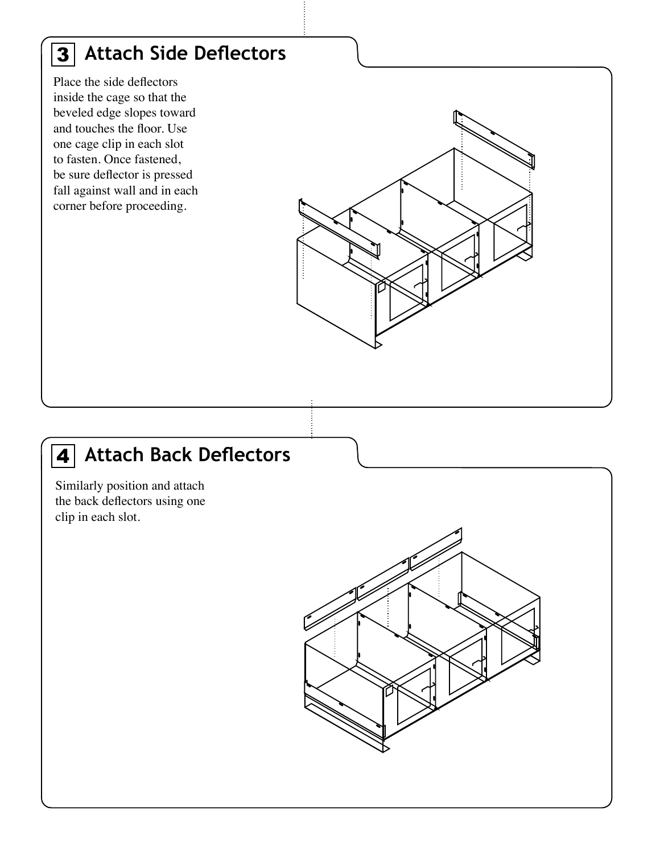#### **Attach Side Deflectors** 3

Place the side deflectors inside the cage so that the beveled edge slopes toward and touches the floor. Use one cage clip in each slot to fasten. Once fastened, be sure deflector is pressed fall against wall and in each corner before proceeding.

![](_page_4_Figure_2.jpeg)

#### **Attach Back Deflectors** 4

Similarly position and attach the back deflectors using one clip in each slot.

![](_page_4_Figure_5.jpeg)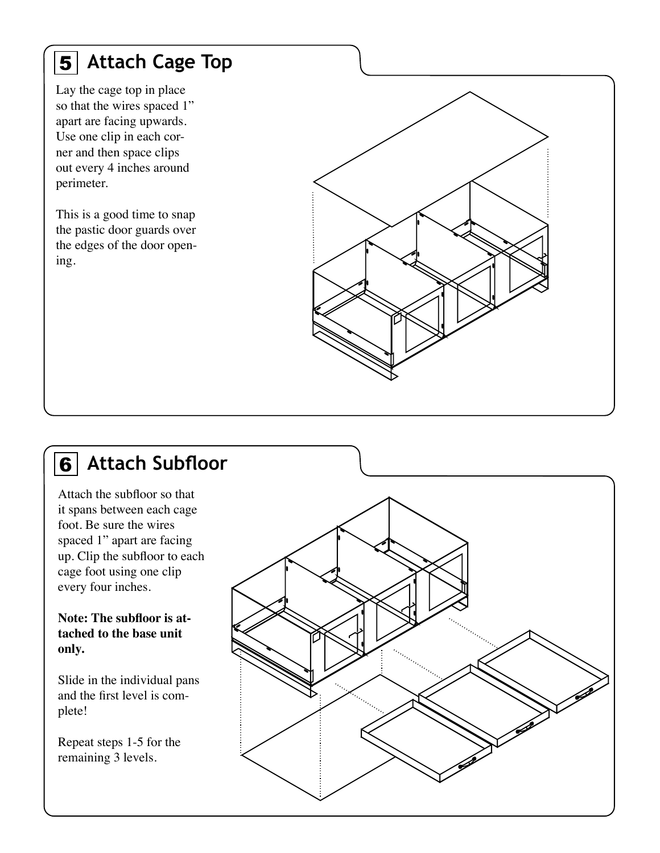### **Attach Cage Top** 5

Lay the cage top in place so that the wires spaced 1" apart are facing upwards. Use one clip in each corner and then space clips out every 4 inches around perimeter.

This is a good time to snap the pastic door guards over the edges of the door opening.

![](_page_5_Figure_3.jpeg)

#### **Attach Subfloor** 6

Attach the subfloor so that it spans between each cage foot. Be sure the wires spaced 1" apart are facing up. Clip the subfloor to each cage foot using one clip every four inches.

**Note: The subfloor is attached to the base unit only.**

Slide in the individual pans and the first level is complete!

Repeat steps 1-5 for the remaining 3 levels.

![](_page_5_Picture_9.jpeg)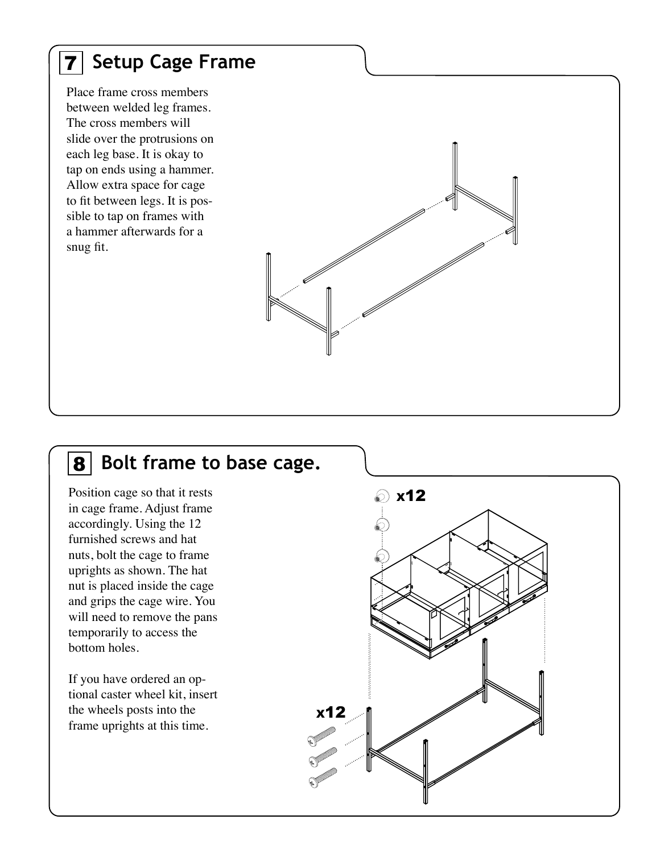### 7 **Setup Cage Frame**

Place frame cross members between welded leg frames. The cross members will slide over the protrusions on each leg base. It is okay to tap on ends using a hammer. Allow extra space for cage to fit between legs. It is possible to tap on frames with a hammer afterwards for a snug fit.

![](_page_6_Figure_2.jpeg)

#### 8 **Bolt frame to base cage.**

Position cage so that it rests in cage frame. Adjust frame accordingly. Using the 12 furnished screws and hat nuts, bolt the cage to frame uprights as shown. The hat nut is placed inside the cage and grips the cage wire. You will need to remove the pans temporarily to access the bottom holes.

If you have ordered an optional caster wheel kit, insert the wheels posts into the frame uprights at this time.

![](_page_6_Figure_6.jpeg)